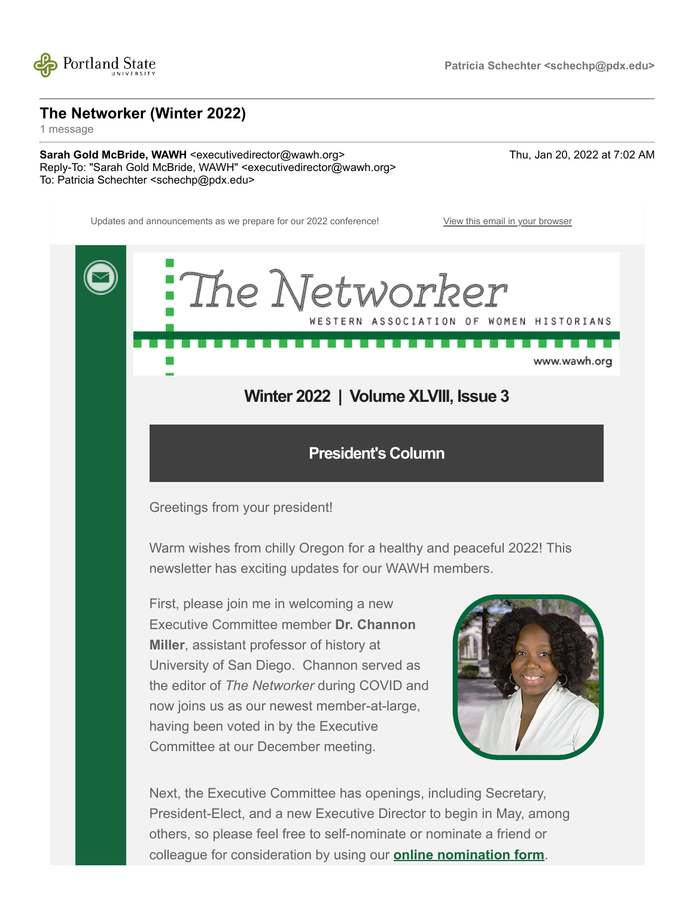

**The Networker (Winter 2022)**

1 message

**Sarah Gold McBride, WAWH** <executivedirector@wawh.org> Thu, Jan 20, 2022 at 7:02 AM Reply-To: "Sarah Gold McBride, WAWH" <executivedirector@wawh.org> To: Patricia Schechter <schechp@pdx.edu>



President-Elect, and a new Executive Director to begin in May, among others, so please feel free to self-nominate or nominate a friend or colleague for consideration by using our **[online nomination form](https://wawh.us8.list-manage.com/track/click?u=e528363f5acf5e2621ca641df&id=f29ea0e218&e=84e54b4463)**.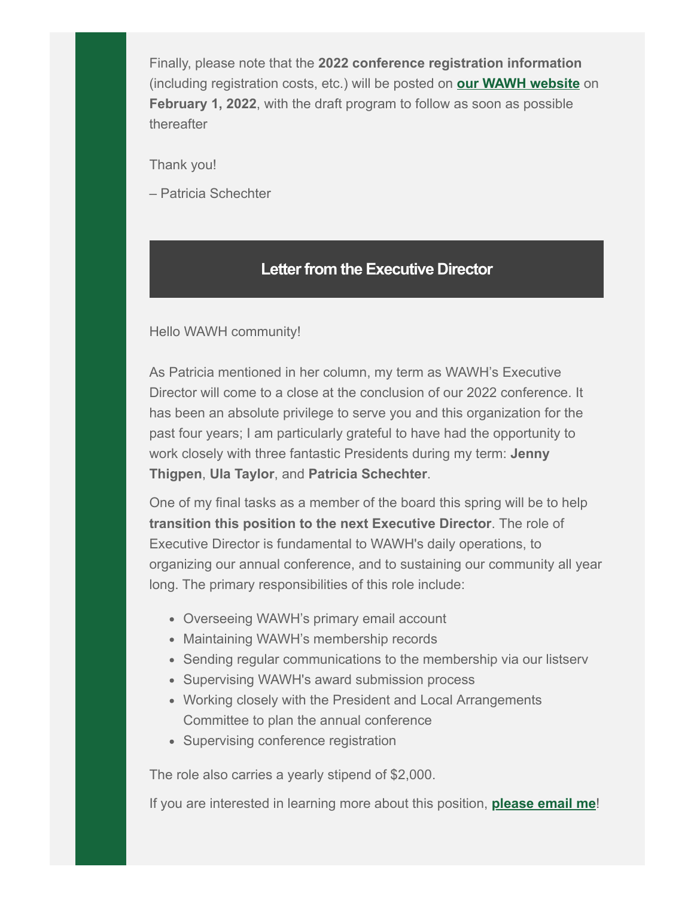Finally, please note that the **2022 conference registration information** (including registration costs, etc.) will be posted on **[our WAWH website](https://wawh.us8.list-manage.com/track/click?u=e528363f5acf5e2621ca641df&id=485e0a3f9b&e=84e54b4463)** on **February 1, 2022**, with the draft program to follow as soon as possible thereafter

Thank you!

– Patricia Schechter

## **Letter from the Executive Director**

#### Hello WAWH community!

As Patricia mentioned in her column, my term as WAWH's Executive Director will come to a close at the conclusion of our 2022 conference. It has been an absolute privilege to serve you and this organization for the past four years; I am particularly grateful to have had the opportunity to work closely with three fantastic Presidents during my term: **Jenny Thigpen**, **Ula Taylor**, and **Patricia Schechter**.

One of my final tasks as a member of the board this spring will be to help **transition this position to the next Executive Director**. The role of Executive Director is fundamental to WAWH's daily operations, to organizing our annual conference, and to sustaining our community all year long. The primary responsibilities of this role include:

- Overseeing WAWH's primary email account
- Maintaining WAWH's membership records
- Sending regular communications to the membership via our listserv
- Supervising WAWH's award submission process
- Working closely with the President and Local Arrangements Committee to plan the annual conference
- Supervising conference registration

The role also carries a yearly stipend of \$2,000.

If you are interested in learning more about this position, **[please email me](mailto:executivedirector@wawh.org?subject=Executive%20Director%20position)**!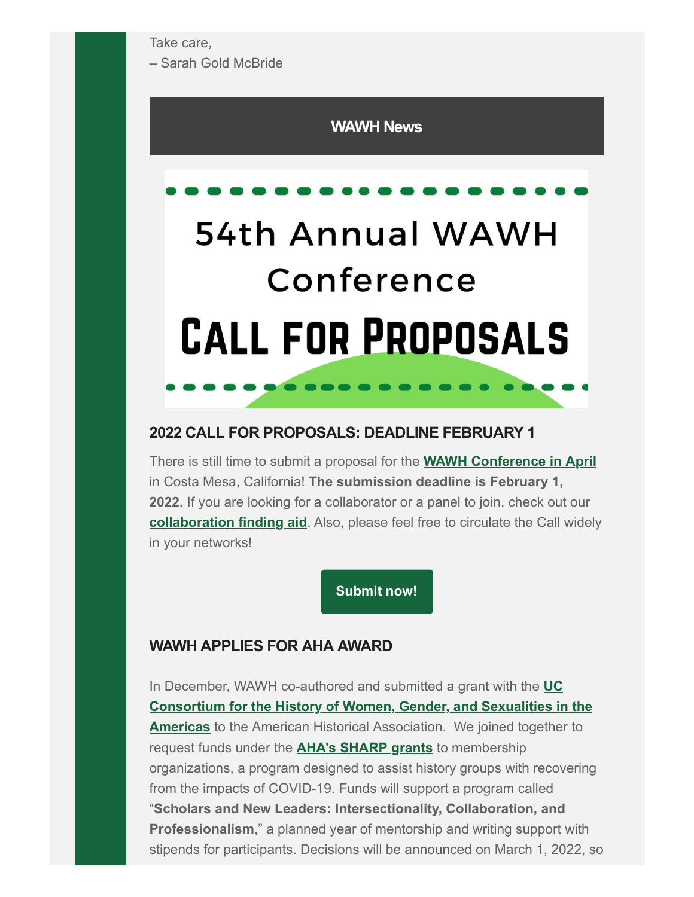Take care,

– Sarah Gold McBride

### **WAWH News**

# 54th Annual WAWH Conference **CALL FOR PROPOSALS**

### **2022 CALL FOR PROPOSALS: DEADLINE FEBRUARY 1**

There is still time to submit a proposal for the **[WAWH Conference in April](https://wawh.us8.list-manage.com/track/click?u=e528363f5acf5e2621ca641df&id=0cb1480a81&e=84e54b4463)** in Costa Mesa, California! **The submission deadline is February 1, 2022.** If you are looking for a collaborator or a panel to join, check out our **[collaboration finding aid](https://wawh.us8.list-manage.com/track/click?u=e528363f5acf5e2621ca641df&id=168dda2c33&e=84e54b4463)**. Also, please feel free to circulate the Call widely in your networks!

**[Submit now!](https://wawh.us8.list-manage.com/track/click?u=e528363f5acf5e2621ca641df&id=4d431ef1dd&e=84e54b4463)**

### **WAWH APPLIES FOR AHA AWARD**

In December, WAWH co-authored and submitted a grant with the **UC [Consortium for the History of Women, Gender, and Sexualities in the](https://wawh.us8.list-manage.com/track/click?u=e528363f5acf5e2621ca641df&id=31eb3c3e64&e=84e54b4463) Americas** to the American Historical Association. We joined together to request funds under the **[AHA's SHARP grants](https://wawh.us8.list-manage.com/track/click?u=e528363f5acf5e2621ca641df&id=72aa422620&e=84e54b4463)** to membership organizations, a program designed to assist history groups with recovering from the impacts of COVID-19. Funds will support a program called "**Scholars and New Leaders: Intersectionality, Collaboration, and Professionalism**," a planned year of mentorship and writing support with stipends for participants. Decisions will be announced on March 1, 2022, so